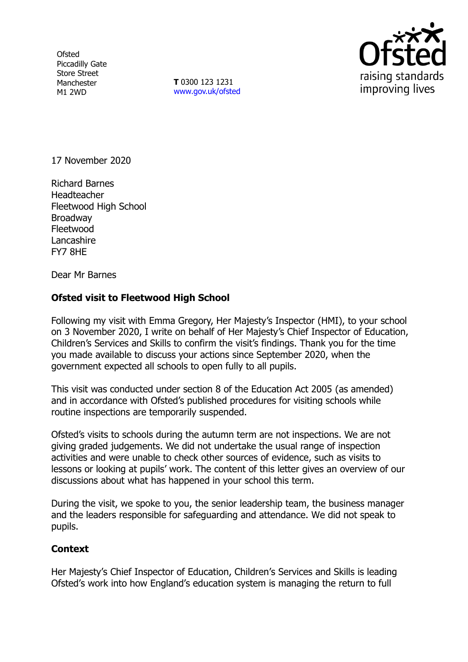**Ofsted** Piccadilly Gate Store Street Manchester M1 2WD

**T** 0300 123 1231 [www.gov.uk/ofsted](http://www.gov.uk/ofsted)



17 November 2020

Richard Barnes Headteacher Fleetwood High School Broadway Fleetwood Lancashire FY7 8HE

Dear Mr Barnes

## **Ofsted visit to Fleetwood High School**

Following my visit with Emma Gregory, Her Majesty's Inspector (HMI), to your school on 3 November 2020, I write on behalf of Her Majesty's Chief Inspector of Education, Children's Services and Skills to confirm the visit's findings. Thank you for the time you made available to discuss your actions since September 2020, when the government expected all schools to open fully to all pupils.

This visit was conducted under section 8 of the Education Act 2005 (as amended) and in accordance with Ofsted's published procedures for visiting schools while routine inspections are temporarily suspended.

Ofsted's visits to schools during the autumn term are not inspections. We are not giving graded judgements. We did not undertake the usual range of inspection activities and were unable to check other sources of evidence, such as visits to lessons or looking at pupils' work. The content of this letter gives an overview of our discussions about what has happened in your school this term.

During the visit, we spoke to you, the senior leadership team, the business manager and the leaders responsible for safeguarding and attendance. We did not speak to pupils.

## **Context**

Her Majesty's Chief Inspector of Education, Children's Services and Skills is leading Ofsted's work into how England's education system is managing the return to full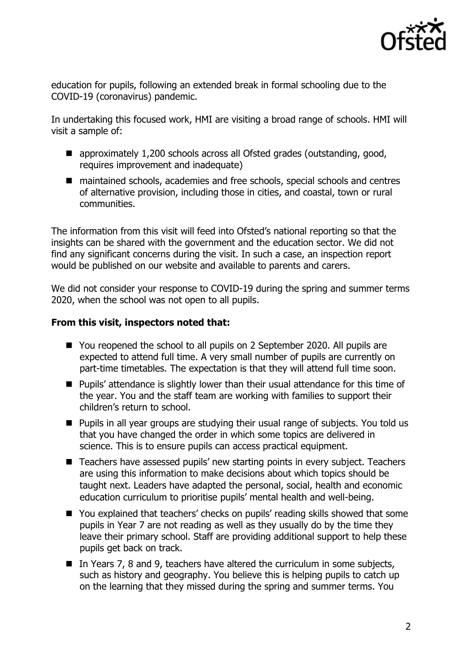

education for pupils, following an extended break in formal schooling due to the COVID-19 (coronavirus) pandemic.

In undertaking this focused work, HMI are visiting a broad range of schools. HMI will visit a sample of:

- approximately 1,200 schools across all Ofsted grades (outstanding, good, requires improvement and inadequate)
- maintained schools, academies and free schools, special schools and centres of alternative provision, including those in cities, and coastal, town or rural communities.

The information from this visit will feed into Ofsted's national reporting so that the insights can be shared with the government and the education sector. We did not find any significant concerns during the visit. In such a case, an inspection report would be published on our website and available to parents and carers.

We did not consider your response to COVID-19 during the spring and summer terms 2020, when the school was not open to all pupils.

## **From this visit, inspectors noted that:**

- You reopened the school to all pupils on 2 September 2020. All pupils are expected to attend full time. A very small number of pupils are currently on part-time timetables. The expectation is that they will attend full time soon.
- **Pupils' attendance is slightly lower than their usual attendance for this time of** the year. You and the staff team are working with families to support their children's return to school.
- Pupils in all year groups are studying their usual range of subjects. You told us that you have changed the order in which some topics are delivered in science. This is to ensure pupils can access practical equipment.
- Teachers have assessed pupils' new starting points in every subject. Teachers are using this information to make decisions about which topics should be taught next. Leaders have adapted the personal, social, health and economic education curriculum to prioritise pupils' mental health and well-being.
- You explained that teachers' checks on pupils' reading skills showed that some pupils in Year 7 are not reading as well as they usually do by the time they leave their primary school. Staff are providing additional support to help these pupils get back on track.
- In Years 7, 8 and 9, teachers have altered the curriculum in some subjects, such as history and geography. You believe this is helping pupils to catch up on the learning that they missed during the spring and summer terms. You